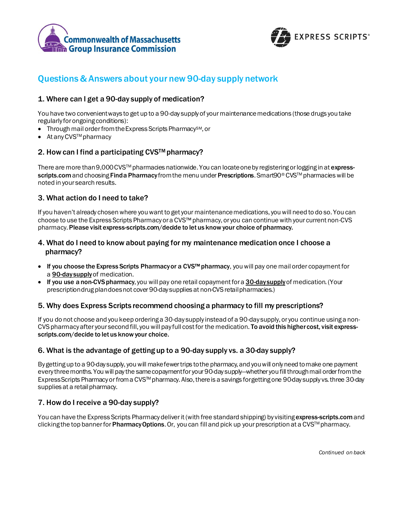



# Questions & Answers about your new 90-day supply network

# 1. Where can I get a 90-day supply of medication?

You have two convenient ways to get up to a 90-day supply of your maintenancemedications (those drugs you take regularly for ongoing conditions):

- Through mail order from the Express Scripts Pharmacy<sup>SM</sup>, or
- At any CVS<sup>™</sup> pharmacy

# 2. How can I find a participating CVS™ pharmacy?

There are more than 9,000 CVS™ pharmacies nationwide. You can locate one by registering or logging in at expressscripts.com and choosing Find a Pharmacy from the menu under Prescriptions. Smart90® CVS™ pharmacies will be noted in your search results.

## 3. What action do I need to take?

If you haven't already chosenwhere you want to get your maintenancemedications, you will need to do so. You can choose to use the Express Scripts Pharmacy or a CVS™pharmacy, or you can continue with your current non-CVS pharmacy.Please visit express-scripts.com/decide to let us knowyour choice of pharmacy.

## 4. What do I need to know about paying for my maintenance medication once I choose a pharmacy?

- If you choose the Express Scripts Pharmacy or a CVS™ pharmacy, you will pay one mail order copayment for a **90-day supply** of medication.
- If you use a non-CVS pharmacy, you will pay one retail copayment for a 30-day supply of medication. (Your prescription drug plan doesnot cover 90-day supplies at non-CVS retail pharmacies.)

#### 5. Why does Express Scripts recommend choosing a pharmacy to fill my prescriptions?

If you do not choose and you keep ordering a 30-day supply instead of a 90-day supply, or you continue using a non-CVS pharmacy after your second fill, you will pay full cost for the medication. To avoid this higher cost, visit expressscripts.com/decide to let us know your choice.

#### 6. What is the advantage of getting up to a 90-day supply vs. a 30-day supply?

By getting up to a 90-day supply, youwill make fewer trips to the pharmacy, and youwill only need to make one payment every three months. Youwill pay the same copayment for your 90-day supply—whether you fill through mail orderfrom the Express Scripts Pharmacy or froma CVSTM pharmacy. Also, thereis a savings for getting one 90-day supply vs. three 30-day supplies at a retail pharmacy.

# 7. How do I receive a 90-day supply?

You can have the Express Scripts Pharmacy deliver it (with free standard shipping) by visiting express-scripts.com and clicking the top banner for **Pharmacy Options**. Or, you can fill and pick up your prescription at a CVS<sup>TM</sup> pharmacy.